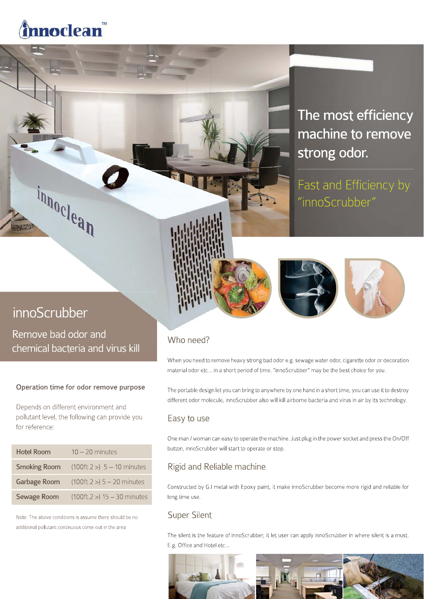# nnoclean

# The most efficiency machine to remove strong odor.

Fast and Efficiency by "innoScrubber"

# innoScrubber

innoclean

Remove bad odor and chemical bacteria and virus kill

# Operation time for odor remove purpose

Depends on different environment and pollutant level, the following can provide you for reference:

| <b>Hotel Room</b>  | $10 - 20$ minutes                                |
|--------------------|--------------------------------------------------|
|                    | <b>Smoking Room</b> $(100ft.2 >) 5 - 10$ minutes |
|                    | Garbage Room $(100ft.2 >) 5 - 20$ minutes        |
| <b>Sewage Room</b> | $(100ft.2 > 15 - 30$ minutes                     |

Note: The above conditions is assume there should be no additional pollutant continuous come out in the area

# Who need?

When you need to remove heavy strong bad odor e.g. sewage water odor, cigarette odor or decoration material odor etc... in a short period of time. "innoScrubber" may be the best choice for you.

The portable design let you can bring to anywhere by one hand in a short time, you can use it to destroy different odor molecule, innoScrubber also will kill airborne bacteria and virus in air by its technology.

# Easy to use

One man / woman can easy to operate the machine. Just plug in the power socket and press the On/Off button, innoScrubber will start to operate or stop.

# Rigid and Reliable machine

Constructed by G.I metal with Epoxy paint, it make innoScrubber become more rigid and reliable for long time use.

# **Super Silent**

The silent is the feature of innoScrubber, it let user can apply innoScrubber in where silent is a must. E.g. Office and Hotel etc...

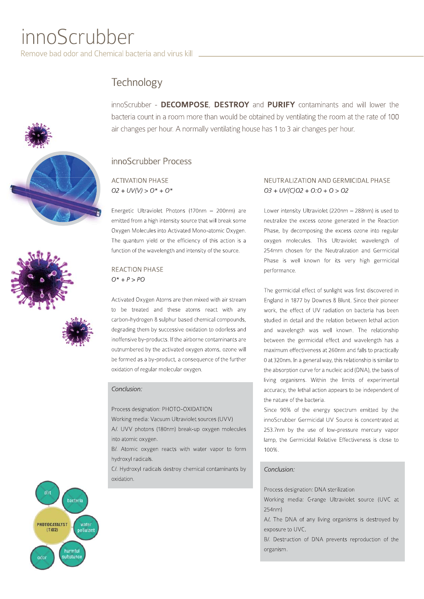# innoScrubber

Remove bad odor and Chemical bacteria and virus kill **wave** 

# Technology





innoScrubber - DECOMPOSE, DESTROY and PURIFY contaminants and will lower the bacteria count in a room more than would be obtained by ventilating the room at the rate of 100 air changes per hour. A normally ventilating house has 1 to 3 air changes per hour.

# innoScrubber Process

**ACTIVATION PHASE**  $O2 + UV(V) > O^* + O^*$ 

Energetic Ultraviolet Photons (170nm - 200nm) are emitted from a high intensity source that will break some Oxygen Molecules into Activated Mono-atomic Oxygen. The quantum yield or the efficiency of this action is a function of the wavelength and intensity of the source.

# **REACTION PHASE**  $O^* + P > PO$

Activated Oxygen Atoms are then mixed with air stream to be treated and these atoms react with any carbon-hydrogen & sulphur based chemical compounds, degrading them by successive oxidation to odorless and inoffensive by-products. If the airborne contaminants are outnumbered by the activated oxygen atoms, ozone will be formed as a by-product, a consequence of the further oxidation of regular molecular oxygen.

## Conclusion:

Process designation: PHOTO-OXIDATION

Working media: Vacuum Ultraviolet sources (UVV) A/. UVV photons (180nm) break-up oxygen molecules into atomic oxygen.

B/. Atomic oxygen reacts with water vapor to form hydroxyl radicals.

C/. Hydroxyl radicals destroy chemical contaminants by oxidation.

## NEUTRALIZATION AND GERMICIDAL PHASE  $O3 + UV(C)O2 + O:O + O > O2$

Lower intensity Ultraviolet (220nm - 288nm) is used to neutralize the excess ozone generated in the Reaction Phase, by decomposing the excess ozone into regular oxygen molecules. This Ultraviolet wavelength of 254mm chosen for the Neutralization and Germicidal Phase is well known for its very high germicidal performance.

The germicidal effect of sunlight was first discovered in England in 1877 by Downes & Blunt. Since their pioneer work, the effect of UV radiation on bacteria has been studied in detail and the relation between lethal action and wavelength was well known. The relationship between the germicidal effect and wavelength has a maximum effectiveness at 260nm and falls to practically 0 at 320nm. In a general way, this relationship is similar to the absorption curve for a nucleic acid (DNA), the basis of living organisms. Within the limits of experimental accuracy, the lethal action appears to be independent of the nature of the bacteria.

Since 90% of the energy spectrum emitted by the innoScrubber Germicidal UV Source is concentrated at 253.7nm by the use of low-pressure mercury vapor lamp, the Germicidal Relative Effectiveness is close to 100%.

# Conclusion:

Process designation: DNA sterilization

Working media: C-range Ultraviolet source (UVC at 254nm)

A/. The DNA of any living organisms is destroyed by exposure to UVC.

B/. Destruction of DNA prevents reproduction of the organism.

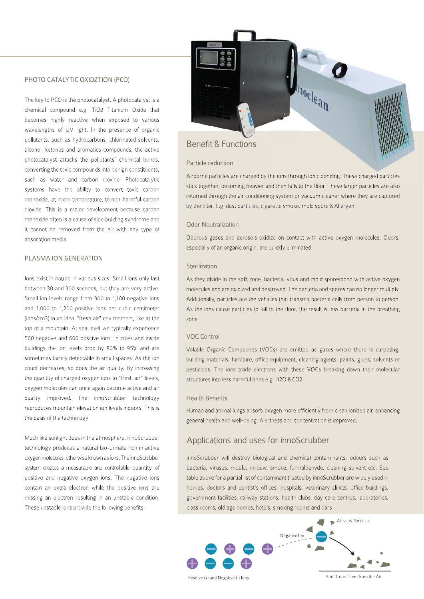### PHOTO CATALYTIC OXIDZTION (PCO)

The key to PCO is the photocatalyst. A photocatalyst is a chemical compound e.g. TiO2 Titanium Oxide that becomes highly reactive when exposed to various wavelengths of UV light. In the presence of organic pollutants, such as hydrocarbons, chlorinated solvents, alcohol, ketones and aromatics compounds, the active photocatalyst attacks the pollutants' chemical bonds, converting the toxic compounds into benign constituents, such as water and carbon dioxide. Photocatalytic systems have the ability to convert toxic carbon monoxide, at room temperature, to non-harmful carbon dioxide. This is a major development because carbon monoxide often is a cause of sick-building syndrome and it cannot be removed from the air with any type of absorption media.

### PLASMA ION GENERATION

lons exist in nature in various sizes. Small ions only last between 30 and 300 seconds, but they are very active. Small ion levels range from 900 to 1,100 negative ions and 1,000 to 1,200 positive ions per cubic centimeter (ions/cm3) in an ideal "fresh air" environment, like at the top of a mountain. At sea level we typically experience 500 negative and 600 positive ions. In cities and inside buildings the ion levels drop by 80% to 95% and are sometimes barely detectable in small spaces. As the ion count decreases, so does the air quality. By increasing the quantity of charged oxygen ions to "fresh air" levels, oxygen molecules can once again become active and air quality improved. The innoScrubber technology reproduces mountain elevation ion levels indoors. This is the basis of the technology.

Much like sunlight does in the atmosphere, innoScrubber technology produces a natural bio-climate rich in active oxygen molecules, otherwise known as ions. The innoScrubber system creates a measurable and controllable quantity of positive and negative oxygen ions. The negative ions contain an extra electron while the positive jons are missing an electron resulting in an unstable condition. These unstable ions provide the following benefits:



### Particle reduction

Airborne particles are charged by the ions through ionic bonding. These charged particles stick together, becoming heavier and then falls to the floor. These larger particles are also returned through the air conditioning system or vacuum cleaner where they are captured by the filter. E.g. dust particles, cigarette smoke, mold spore & Allergen

### **Odor Neutralization**

Odorous gases and aerosols oxidize on contact with active oxygen molecules. Odors, especially of an organic origin, are quickly eliminated.

### Sterilization

As they divide in the split zone, bacteria, virus and mold sporesbond with active oxygen molecules and are oxidized and destroyed. The bacteria and spores can no longer multiply. Additionally, particles are the vehicles that transmit bacteria cells from person to person. As the ions cause particles to fall to the floor, the result is less bacteria in the breathing zone.

### **VOC Control**

Volatile Organic Compounds (VOCs) are emitted as gases where there is carpeting, building materials, furniture, office equipment, cleaning agents, paints, glues, solvents or pesticides. The ions trade electrons with these VOCs breaking down their molecular structures into less harmful ones e.g. H2O & CO2

### **Health Benefits**

Human and animal lungs absorb oxygen more efficiently from clean ionized air, enhancing general health and well-being. Alertness and concentration is improved.

# Applications and uses for innoScrubber

innoScrubber will destroy biological and chemical contaminants, odours such as bacteria, viruses, mould, mildew, smoke, formaldehyde, cleaning solvent etc. See table above for a partial list of contaminant treated by innoScrubber are widely used in homes, doctors and dentist's offices, hospitals, veterinary clinics, office buildings, government facilities, railway stations, health clubs, day care centres, laboratories, class rooms, old age homes, hotels, smoking rooms and bars

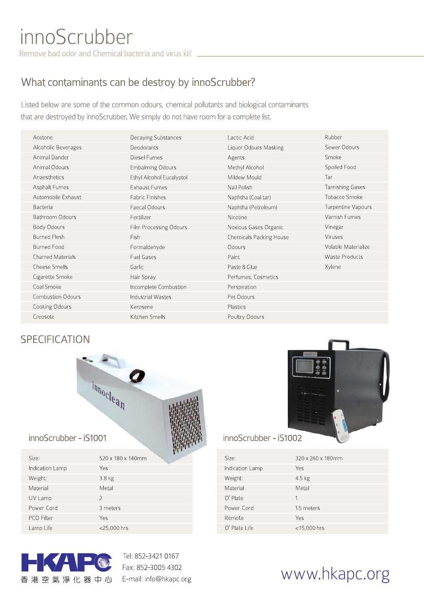# What contaminants can be destroy by innoScrubber?

Listed below are some of the common odours, chemical pollutants and biological contaminants that are destroyed by innoScrubber. We simply do not have room for a complete list.

| Acetone                  | Decaying Substances      | Lactic Acid                    | Rubber                  |
|--------------------------|--------------------------|--------------------------------|-------------------------|
| Alcoholic Beverages      | Deodorants               | Liquor Odours Masking          | Sewer Odours            |
| Animal Dander            | Diesel Fumes             | Agents                         | Smoke                   |
| Animal Odours            | <b>Embalming Odours</b>  | Methyl Alcohol                 | Spoiled Food            |
| Anaesthetics             | Ethyl Alcohol Eucalyptol | Mildew Mould                   | Tar                     |
| Asphalt Fumes            | <b>Exhaust Fumes</b>     | Nail Polish                    | <b>Tarnishing Gases</b> |
| Automobile Exhaust       | Fabric Finishes          | Naphtha (Coal tar)             | Tobacco Smoke           |
| Bacteria                 | Faecal Odours            | Naphtha (Petroleum)            | Turpentine Vapours      |
| Bathroom Odours          | Fertilizer               | Nicotine                       | Varnish Fumes           |
| Body Odours              | Film Processing Odours   | Noxious Gases Organic          | Vinegar                 |
| <b>Burned Flesh</b>      | Fish                     | <b>Chemicals Packing House</b> | <b>Viruses</b>          |
| <b>Burned Food</b>       | Formaldehyde             | Odours                         | Volatile Materialize    |
| <b>Charred Materials</b> | Fuel Gases               | Paint                          | Waste Products          |
| Cheese Smells            | Garlic                   | Paste & Glue                   | Xylene                  |
| Cigarette Smoke          | Hair Spray               | Perfumes, Cosmetics            |                         |
| Coal Smoke               | Incomplete Combustion    | Perspiration                   |                         |
| <b>Combustion Odours</b> | <b>Industrial Wastes</b> | Pet Odours                     |                         |
| Cooking Odours           | Kerosene                 | Plastics                       |                         |
| Creosote                 | Kitchen Smells           | Poultry Odours                 |                         |

# **SPECIFICATION**



# innoScrubber - iS1001

| Size:           | 520 x 180 x 140mm |
|-----------------|-------------------|
| Indication Lamp | Yes               |
| Weight:         | 3.8 <sub>kg</sub> |
| Material        | Metal             |
| UV Lamp         | $\mathcal{P}$     |
| Power Cord      | 3 meters          |
| PCO Filter      | Yes               |
| Lamp Life       | <25,000 hrs       |



Tel: 852-3421 0167 Fax: 852-3005 4302 E-mail: info@hkapc.org

# innoScrubber - iS1002

| Size:           | 320 x 260 x 180mm |
|-----------------|-------------------|
| Indication Lamp | Yes               |
| Weight:         | $4.5$ kg          |
| Material        | Metal             |
| $O3$ Plate      |                   |
| Power Cord      | 1.5 meters        |
| Remote          | Yes               |
| O' Plate Life   | $<$ 15,000 hrs    |

# www.hkapc.org